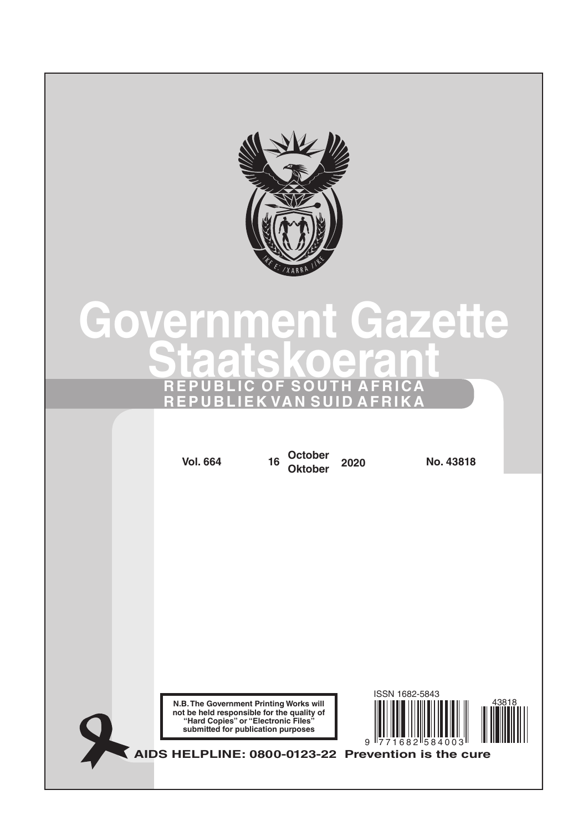

# **Government Gazette Staatskoerant REPUBLIC OF SOUTH AFRICA REPUBLIEK VAN SUID AFRIKA**

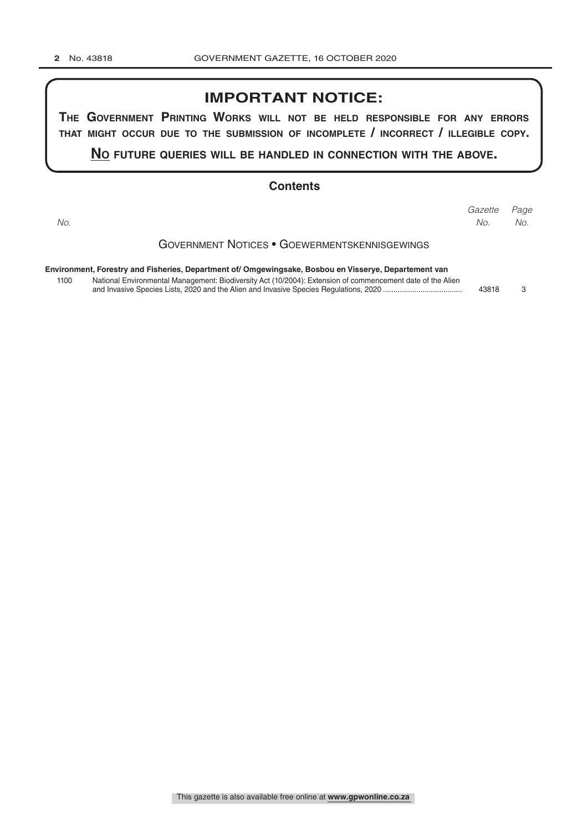## **IMPORTANT NOTICE:**

**The GovernmenT PrinTinG Works Will noT be held resPonsible for any errors ThaT miGhT occur due To The submission of incomPleTe / incorrecT / illeGible coPy.**

**no fuTure queries Will be handled in connecTion WiTh The above.**

#### **Contents**

Government Notices • Goewermentskennisgewings **Environment, Forestry and Fisheries, Department of/ Omgewingsake, Bosbou en Visserye, Departement van** 1100 National Environmental Management: Biodiversity Act (10/2004): Extension of commencement date of the Alien and Invasive Species Lists, 2020 and the Alien and Invasive Species Regulations, 2020 ...................................... 43818 3 *Page Gazette No. No. No.*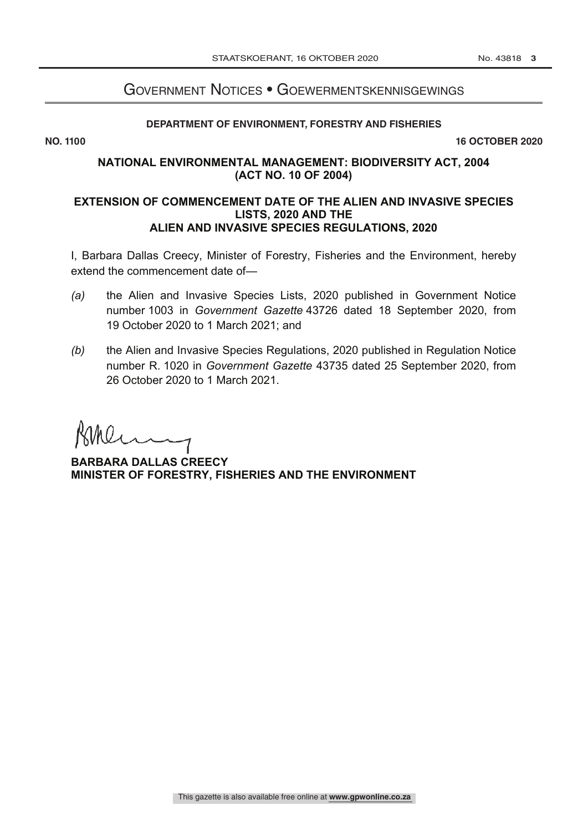# Government Notices • Goewermentskennisgewings

### **DEPARTMENT OF ENVIRONMENT, FORESTRY AND FISHERIES**

**NO. 1100** 16 OCTOBER 2020

## **NATIONAL ENVIRONMENTAL MANAGEMENT: BIODIVERSITY ACT, 2004 (ACT NO. 10 OF 2004)**

## **EXTENSION OF COMMENCEMENT DATE OF THE ALIEN AND INVASIVE SPECIES LISTS, 2020 AND THE ALIEN AND INVASIVE SPECIES REGULATIONS, 2020**

I, Barbara Dallas Creecy, Minister of Forestry, Fisheries and the Environment, hereby extend the commencement date of—

- *(a)* the Alien and Invasive Species Lists, 2020 published in Government Notice number 1003 in *Government Gazette* 43726 dated 18 September 2020, from 19 October 2020 to 1 March 2021; and
- *(b)* the Alien and Invasive Species Regulations, 2020 published in Regulation Notice number R. 1020 in *Government Gazette* 43735 dated 25 September 2020, from 26 October 2020 to 1 March 2021.

**BARBARA DALLAS CREECY MINISTER OF FORESTRY, FISHERIES AND THE ENVIRONMENT**